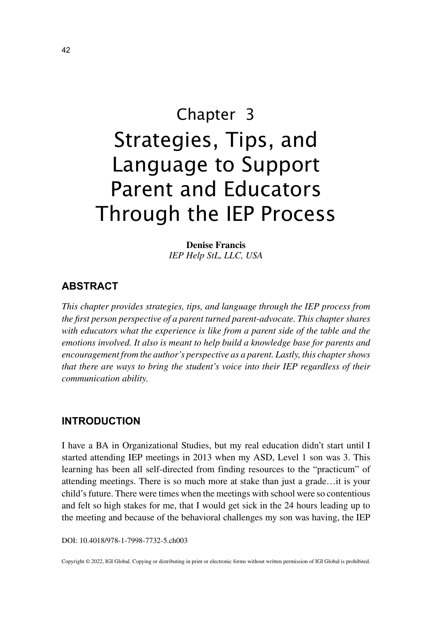# Chapter 3 Strategies, Tips, and Language to Support Parent and Educators Through the IEP Process

**Denise Francis** *IEP Help StL, LLC, USA*

## **ABSTRACT**

*This chapter provides strategies, tips, and language through the IEP process from the first person perspective of a parent turned parent-advocate. This chapter shares*  with educators what the experience is like from a parent side of the table and the *emotions involved. It also is meant to help build a knowledge base for parents and encouragement from the author's perspective as a parent. Lastly, this chapter shows that there are ways to bring the student's voice into their IEP regardless of their communication ability.*

### **INTRODUCTION**

I have a BA in Organizational Studies, but my real education didn't start until I started attending IEP meetings in 2013 when my ASD, Level 1 son was 3. This learning has been all self-directed from finding resources to the "practicum" of attending meetings. There is so much more at stake than just a grade…it is your child's future. There were times when the meetings with school were so contentious and felt so high stakes for me, that I would get sick in the 24 hours leading up to the meeting and because of the behavioral challenges my son was having, the IEP

DOI: 10.4018/978-1-7998-7732-5.ch003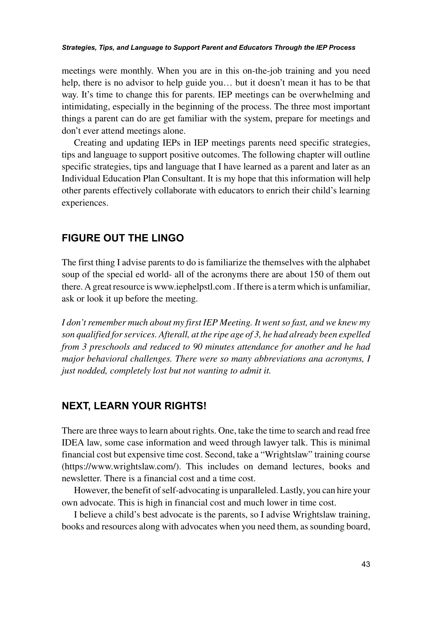#### *Strategies, Tips, and Language to Support Parent and Educators Through the IEP Process*

meetings were monthly. When you are in this on-the-job training and you need help, there is no advisor to help guide you… but it doesn't mean it has to be that way. It's time to change this for parents. IEP meetings can be overwhelming and intimidating, especially in the beginning of the process. The three most important things a parent can do are get familiar with the system, prepare for meetings and don't ever attend meetings alone.

Creating and updating IEPs in IEP meetings parents need specific strategies, tips and language to support positive outcomes. The following chapter will outline specific strategies, tips and language that I have learned as a parent and later as an Individual Education Plan Consultant. It is my hope that this information will help other parents effectively collaborate with educators to enrich their child's learning experiences.

#### **FIGURE OUT THE LINGO**

The first thing I advise parents to do is familiarize the themselves with the alphabet soup of the special ed world- all of the acronyms there are about 150 of them out there. A great resource is www.iephelpstl.com . If there is a term which is unfamiliar, ask or look it up before the meeting.

*I don't remember much about my first IEP Meeting. It went so fast, and we knew my son qualified for services. Afterall, at the ripe age of 3, he had already been expelled from 3 preschools and reduced to 90 minutes attendance for another and he had major behavioral challenges. There were so many abbreviations ana acronyms, I just nodded, completely lost but not wanting to admit it.*

#### **NEXT, LEARN YOUR RIGHTS!**

There are three ways to learn about rights. One, take the time to search and read free IDEA law, some case information and weed through lawyer talk. This is minimal financial cost but expensive time cost. Second, take a "Wrightslaw" training course (https://www.wrightslaw.com/). This includes on demand lectures, books and newsletter. There is a financial cost and a time cost.

However, the benefit of self-advocating is unparalleled. Lastly, you can hire your own advocate. This is high in financial cost and much lower in time cost.

I believe a child's best advocate is the parents, so I advise Wrightslaw training, books and resources along with advocates when you need them, as sounding board,